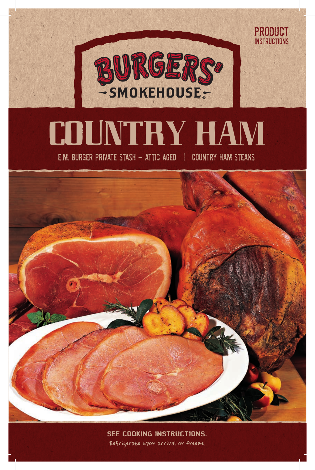

PRODUCT **INSTRUCTIONS** 

# COUNTRY HAM

E.M. BURGER PRIVATE STASH - ATTIC AGED | COUNTRY HAM STEAKS



Refrigerate upon arrival or freeze. SEE COOKING INSTRUCTIONS.